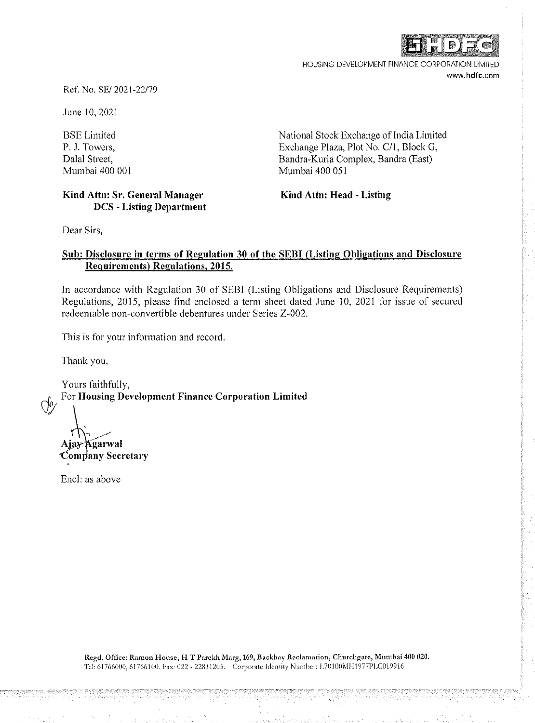

HOUSING DEVELOPMENT FINANCE CORPORATION LIMITED www.hdfc.com

Ref. No. SE/ 202 I -22/79

June 10, 2021

BSE Limited P. J. Towers, Dalal Street, Mumbai 400 001 National Stock Exchange of India Limited Exchange Plaza, Plot No, C/1, Block G, Bandra-Kurla Complex, Bandra (East) Mumbai 400 051

## **Kind Attn: Sr, General Manager DCS** - **Listing Department**

**Kind Attn: Head** - **Listing** 

Dear Sirs,

## **Sub: Disclosure in terms of Regulation 30 of the SEBI (Listing Obligations and Disclosure Requirements) Regulations, 2015.**

In accordance with Regulation 30 of SEBI (Listing Obligations and Disclosure Requirements) Regulations, 2015, please find enclosed a term sheet dated June 10, 2021 for issue of secured redeemable non-convertible debentures under Series Z-002.

This is for your information and record.

Thank you,

Yours faithfully, *cf:y* For **Housing Development Finance Corporation Limited** 

Kgarwal Company Secretary

Encl: as above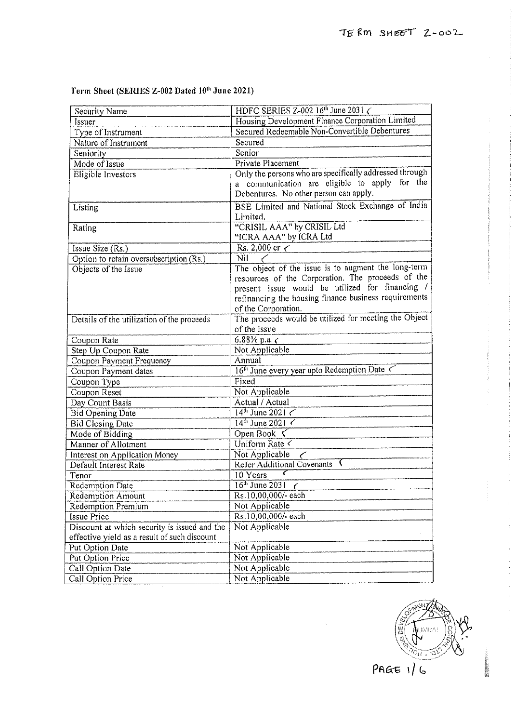# Term Sheet (SERIES Z-002 Dated  $10^{th}$  June 2021)

| <b>Security Name</b>                         | HDFC SERIES Z-002 $16^{\text{th}}$ June 2031 $\zeta$                                                     |  |  |
|----------------------------------------------|----------------------------------------------------------------------------------------------------------|--|--|
| Issuer                                       | Housing Development Finance Corporation Limited                                                          |  |  |
| Type of Instrument                           | Secured Redeemable Non-Convertible Debentures                                                            |  |  |
| Nature of Instrument                         | Secured                                                                                                  |  |  |
| Seniority                                    | Senior                                                                                                   |  |  |
| Mode of Issue                                |                                                                                                          |  |  |
|                                              | Private Placement                                                                                        |  |  |
| Eligible Investors                           | Only the persons who are specifically addressed through<br>a communication are eligible to apply for the |  |  |
|                                              |                                                                                                          |  |  |
|                                              | Debentures. No other person can apply.                                                                   |  |  |
| Listing                                      | BSE Limited and National Stock Exchange of India                                                         |  |  |
|                                              | Limited.                                                                                                 |  |  |
| Rating                                       | "CRISIL AAA" by CRISIL Ltd                                                                               |  |  |
|                                              | "ICRA AAA" by ICRA Ltd                                                                                   |  |  |
| Issue Size (Rs.)                             | Rs. 2,000 cr $\lt$                                                                                       |  |  |
| Option to retain oversubscription (Rs.)      | Nil<br>The object of the issue is to augment the long-term                                               |  |  |
| Objects of the Issue                         | resources of the Corporation. The proceeds of the                                                        |  |  |
|                                              | present issue would be utilized for financing /                                                          |  |  |
|                                              | refinancing the housing finance business requirements                                                    |  |  |
|                                              | of the Corporation.                                                                                      |  |  |
|                                              | The proceeds would be utilized for meeting the Object                                                    |  |  |
| Details of the utilization of the proceeds   | of the Issue                                                                                             |  |  |
|                                              |                                                                                                          |  |  |
| Coupon Rate                                  | 6.88% p.a. $\zeta$                                                                                       |  |  |
| Step Up Coupon Rate                          | Not Applicable                                                                                           |  |  |
| Coupon Payment Frequency                     | Annual                                                                                                   |  |  |
| Coupon Payment dates                         | 16 <sup>th</sup> June every year upto Redemption Date <                                                  |  |  |
| Coupon Type                                  | Fixed                                                                                                    |  |  |
| Coupon Reset                                 | Not Applicable                                                                                           |  |  |
| Day Count Basis                              | Actual / Actual                                                                                          |  |  |
| <b>Bid Opening Date</b>                      | $14^{\text{th}}$ June 2021 $\lt$                                                                         |  |  |
| <b>Bid Closing Date</b>                      | $14^{th}$ June 2021                                                                                      |  |  |
| Mode of Bidding                              | Open Book $\leq$                                                                                         |  |  |
| Manner of Allotment                          | Uniform Rate $\overline{\left\langle \right\rangle}$                                                     |  |  |
| Interest on Application Money                | Not Applicable<br><b>Refer Additional Covenants</b>                                                      |  |  |
| Default Interest Rate                        |                                                                                                          |  |  |
| Tenor                                        | 10 Years                                                                                                 |  |  |
| <b>Redemption Date</b>                       | $16^{\text{th}}$ June 2031 $\epsilon$                                                                    |  |  |
| Redemption Amount                            | Rs.10,00,000/-each                                                                                       |  |  |
| Redemption Premium                           | Not Applicable                                                                                           |  |  |
| Issue Price                                  | Rs.10,00,000/-each                                                                                       |  |  |
| Discount at which security is issued and the | Not Applicable                                                                                           |  |  |
| effective yield as a result of such discount |                                                                                                          |  |  |
| Put Option Date                              | Not Applicable                                                                                           |  |  |
| Put Option Price                             | Not Applicable                                                                                           |  |  |
| Call Option Date                             | Not Applicable                                                                                           |  |  |
| Call Option Price                            | Not Applicable                                                                                           |  |  |

den  $\tilde{C}$  $PAGE$  1/6

**WARRING**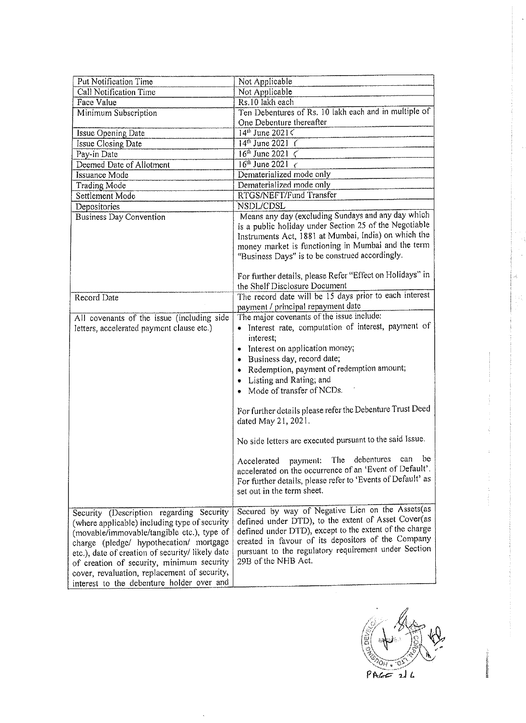| Put Notification Time                                                                                                                                                                                                                                                                                                                                                            |                                                                                                                                                                                                                                                                                                        |  |  |
|----------------------------------------------------------------------------------------------------------------------------------------------------------------------------------------------------------------------------------------------------------------------------------------------------------------------------------------------------------------------------------|--------------------------------------------------------------------------------------------------------------------------------------------------------------------------------------------------------------------------------------------------------------------------------------------------------|--|--|
| Call Notification Time                                                                                                                                                                                                                                                                                                                                                           | Not Applicable<br>Not Applicable                                                                                                                                                                                                                                                                       |  |  |
| <b>Face Value</b>                                                                                                                                                                                                                                                                                                                                                                | Rs.10 lakh each                                                                                                                                                                                                                                                                                        |  |  |
| Minimum Subscription                                                                                                                                                                                                                                                                                                                                                             | Ten Debentures of Rs. 10 lakh each and in multiple of                                                                                                                                                                                                                                                  |  |  |
|                                                                                                                                                                                                                                                                                                                                                                                  | One Debenture thereafter                                                                                                                                                                                                                                                                               |  |  |
| Issue Opening Date                                                                                                                                                                                                                                                                                                                                                               | $14^{1b}$ June 2021 $\zeta$                                                                                                                                                                                                                                                                            |  |  |
| Issue Closing Date                                                                                                                                                                                                                                                                                                                                                               | $14^{th}$ June 2021 (                                                                                                                                                                                                                                                                                  |  |  |
| Pay-in Date                                                                                                                                                                                                                                                                                                                                                                      | $16^{th}$ June 2021 $\zeta$                                                                                                                                                                                                                                                                            |  |  |
| Deemed Date of Allotment                                                                                                                                                                                                                                                                                                                                                         | $16^{th}$ June 2021 $\leq$                                                                                                                                                                                                                                                                             |  |  |
| <b>Issuance Mode</b>                                                                                                                                                                                                                                                                                                                                                             | Dematerialized mode only                                                                                                                                                                                                                                                                               |  |  |
| Trading Mode                                                                                                                                                                                                                                                                                                                                                                     | Dematerialized mode only                                                                                                                                                                                                                                                                               |  |  |
| Settlement Mode                                                                                                                                                                                                                                                                                                                                                                  | RTGS/NEFT/Fund Transfer                                                                                                                                                                                                                                                                                |  |  |
| Depositories                                                                                                                                                                                                                                                                                                                                                                     | NSDL/CDSL                                                                                                                                                                                                                                                                                              |  |  |
| <b>Business Day Convention</b>                                                                                                                                                                                                                                                                                                                                                   | Means any day (excluding Sundays and any day which                                                                                                                                                                                                                                                     |  |  |
|                                                                                                                                                                                                                                                                                                                                                                                  | is a public holiday under Section 25 of the Negotiable<br>Instruments Act, 1881 at Mumbai, India) on which the<br>money market is functioning in Mumbai and the term<br>"Business Days" is to be construed accordingly.                                                                                |  |  |
|                                                                                                                                                                                                                                                                                                                                                                                  |                                                                                                                                                                                                                                                                                                        |  |  |
|                                                                                                                                                                                                                                                                                                                                                                                  | For further details, please Refer "Effect on Holidays" in<br>the Shelf Disclosure Document                                                                                                                                                                                                             |  |  |
|                                                                                                                                                                                                                                                                                                                                                                                  | The record date will be 15 days prior to each interest                                                                                                                                                                                                                                                 |  |  |
| Record Date                                                                                                                                                                                                                                                                                                                                                                      | payment / principal repayment date                                                                                                                                                                                                                                                                     |  |  |
| All covenants of the issue (including side                                                                                                                                                                                                                                                                                                                                       | The major covenants of the issue include:                                                                                                                                                                                                                                                              |  |  |
| letters, accelerated payment clause etc.)                                                                                                                                                                                                                                                                                                                                        | • Interest rate, computation of interest, payment of<br>interest;                                                                                                                                                                                                                                      |  |  |
|                                                                                                                                                                                                                                                                                                                                                                                  | Interest on application money;<br>۰                                                                                                                                                                                                                                                                    |  |  |
|                                                                                                                                                                                                                                                                                                                                                                                  | Business day, record date;<br>۰                                                                                                                                                                                                                                                                        |  |  |
|                                                                                                                                                                                                                                                                                                                                                                                  | Redemption, payment of redemption amount;<br>۰                                                                                                                                                                                                                                                         |  |  |
|                                                                                                                                                                                                                                                                                                                                                                                  | Listing and Rating; and<br>$\bullet$                                                                                                                                                                                                                                                                   |  |  |
|                                                                                                                                                                                                                                                                                                                                                                                  | • Mode of transfer of NCDs.                                                                                                                                                                                                                                                                            |  |  |
|                                                                                                                                                                                                                                                                                                                                                                                  | For further details please refer the Debenture Trust Deed<br>dated May 21, 2021.                                                                                                                                                                                                                       |  |  |
|                                                                                                                                                                                                                                                                                                                                                                                  | No side letters are executed pursuant to the said Issue.                                                                                                                                                                                                                                               |  |  |
|                                                                                                                                                                                                                                                                                                                                                                                  | Accelerated payment: The debentures can be<br>accelerated on the occurrence of an 'Event of Default'.<br>For further details, please refer to 'Events of Default' as<br>set out in the term sheet.                                                                                                     |  |  |
| Security (Description regarding Security<br>(where applicable) including type of security<br>(movable/immovable/tangible etc.), type of<br>charge (pledge/ hypothecation/ mortgage<br>etc.), date of creation of security/ likely date<br>of creation of security, minimum security<br>cover, revaluation, replacement of security,<br>interest to the debenture holder over and | Secured by way of Negative Lien on the Assets(as<br>defined under DTD), to the extent of Asset Cover(as<br>defined under DTD), except to the extent of the charge<br>created in favour of its depositors of the Company<br>pursuant to the regulatory requirement under Section<br>29B of the NHB Act. |  |  |

 $\bar{z}$ 

ಹೆ<br>ಗ್ರ Ň  $P$ ACC 216

**is and the contract of the contract of the contract of the contract of the contract of the contract of the contract of the contract of the contract of the contract of the contract of the contract of the contract of the co** 

 $\frac{1}{2}$  and  $\frac{1}{2}$  and  $\frac{1}{2}$ 

i.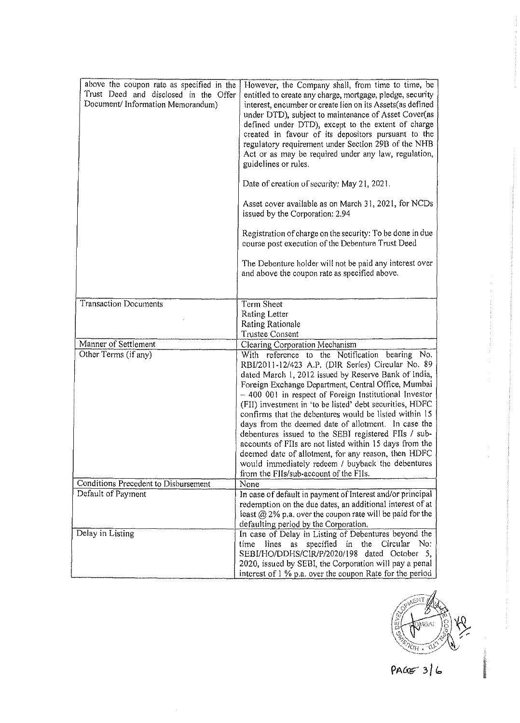| above the coupon rate as specified in the<br>Trust Deed and disclosed in the Offer<br>Document/Information Memorandum) | However, the Company shall, from time to time, be<br>entitled to create any charge, mortgage, pledge, security<br>interest, encumber or create lien on its Assets (as defined<br>under DTD), subject to maintenance of Asset Cover(as<br>defined under DTD), except to the extent of charge<br>created in favour of its depositors pursuant to the<br>regulatory requirement under Section 29B of the NHB<br>Act or as may be required under any law, regulation,<br>guidelines or rules.<br>Date of creation of security; May 21, 2021.<br>Asset cover available as on March 31, 2021, for NCDs<br>issued by the Corporation: 2.94<br>Registration of charge on the security: To be done in due<br>course post execution of the Debenture Trust Deed<br>The Debenture holder will not be paid any interest over<br>and above the coupon rate as specified above. |
|------------------------------------------------------------------------------------------------------------------------|-------------------------------------------------------------------------------------------------------------------------------------------------------------------------------------------------------------------------------------------------------------------------------------------------------------------------------------------------------------------------------------------------------------------------------------------------------------------------------------------------------------------------------------------------------------------------------------------------------------------------------------------------------------------------------------------------------------------------------------------------------------------------------------------------------------------------------------------------------------------|
| <b>Transaction Documents</b>                                                                                           | Term Sheet                                                                                                                                                                                                                                                                                                                                                                                                                                                                                                                                                                                                                                                                                                                                                                                                                                                        |
|                                                                                                                        | Rating Letter                                                                                                                                                                                                                                                                                                                                                                                                                                                                                                                                                                                                                                                                                                                                                                                                                                                     |
|                                                                                                                        | Rating Rationale                                                                                                                                                                                                                                                                                                                                                                                                                                                                                                                                                                                                                                                                                                                                                                                                                                                  |
|                                                                                                                        | Trustee Consent                                                                                                                                                                                                                                                                                                                                                                                                                                                                                                                                                                                                                                                                                                                                                                                                                                                   |
| Manner of Settlement                                                                                                   | Clearing Corporation Mechanism                                                                                                                                                                                                                                                                                                                                                                                                                                                                                                                                                                                                                                                                                                                                                                                                                                    |
| Other Terms (if any)                                                                                                   | With reference to the Notification bearing No.<br>RBI/2011-12/423 A.P. (DIR Series) Circular No. 89<br>dated March 1, 2012 issued by Reserve Bank of India,<br>Foreign Exchange Department, Central Office, Mumbai<br>- 400 001 in respect of Foreign Institutional Investor<br>(FII) investment in 'to be listed' debt securities, HDFC<br>confirms that the debentures would be listed within 15<br>days from the deemed date of allotment. In case the<br>debentures issued to the SEBI registered FIIs / sub-<br>accounts of FIIs are not listed within 15 days from the<br>deemed date of allotment, for any reason, then HDFC<br>would immediately redeem / buyback the debentures<br>from the FIIs/sub-account of the FIIs.                                                                                                                                |
| Conditions Precedent to Disbursement                                                                                   | None                                                                                                                                                                                                                                                                                                                                                                                                                                                                                                                                                                                                                                                                                                                                                                                                                                                              |
| Default of Payment                                                                                                     | In case of default in payment of Interest and/or principal                                                                                                                                                                                                                                                                                                                                                                                                                                                                                                                                                                                                                                                                                                                                                                                                        |
|                                                                                                                        | redemption on the due dates, an additional interest of at<br>least $@$ 2% p.a. over the coupon rate will be paid for the<br>defaulting period by the Corporation.                                                                                                                                                                                                                                                                                                                                                                                                                                                                                                                                                                                                                                                                                                 |
| Delay in Listing                                                                                                       | In case of Delay in Listing of Debentures beyond the<br>lines<br>time<br>as<br>specified<br>the<br>Circular<br>No:<br>in in<br>SEBI/HO/DDHS/CIR/P/2020/198 dated October 5,<br>2020, issued by SEBI, the Corporation will pay a penal<br>interest of 1 % p.a. over the coupon Rate for the period                                                                                                                                                                                                                                                                                                                                                                                                                                                                                                                                                                 |



**ERSRAPHONDER** 

 $PAGE$  3/6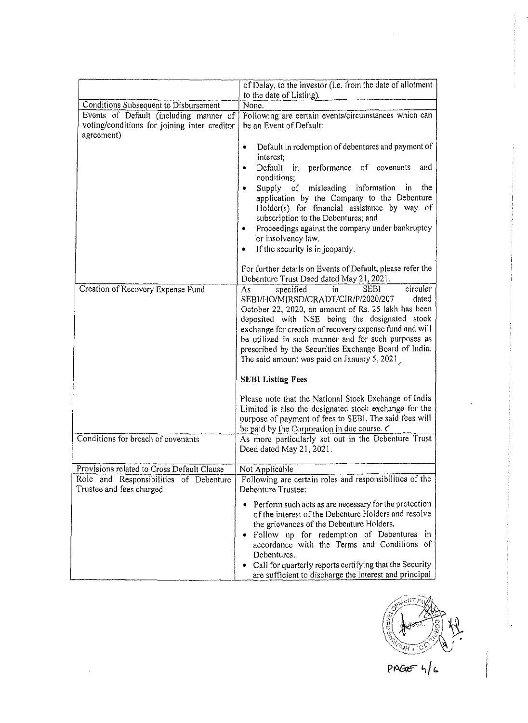|                                                                    | of Delay, to the investor (i.e. from the date of allotment                                                                                                                                                                                                                                                                                                                                                                        |  |  |
|--------------------------------------------------------------------|-----------------------------------------------------------------------------------------------------------------------------------------------------------------------------------------------------------------------------------------------------------------------------------------------------------------------------------------------------------------------------------------------------------------------------------|--|--|
| Conditions Subsequent to Disbursement                              | to the date of Listing).<br>None.                                                                                                                                                                                                                                                                                                                                                                                                 |  |  |
| Events of Default (including manner of                             | Following are certain events/circumstances which can                                                                                                                                                                                                                                                                                                                                                                              |  |  |
| voting/conditions for joining inter creditor<br>agreement)         | be an Event of Default:                                                                                                                                                                                                                                                                                                                                                                                                           |  |  |
|                                                                    | Default in redemption of debentures and payment of<br>۰<br>interest;<br>in performance of covenants<br>Default<br>and<br>٠                                                                                                                                                                                                                                                                                                        |  |  |
|                                                                    | conditions;                                                                                                                                                                                                                                                                                                                                                                                                                       |  |  |
|                                                                    | Supply of misleading<br>information<br>the<br>in<br>application by the Company to the Debenture<br>Holder(s) for financial assistance by way of<br>subscription to the Debentures; and<br>Proceedings against the company under bankruptcy<br>۰<br>or insolvency law.                                                                                                                                                             |  |  |
|                                                                    | If the security is in jeopardy.<br>٠                                                                                                                                                                                                                                                                                                                                                                                              |  |  |
|                                                                    | For further details on Events of Default, please refer the<br>Debenture Trust Deed dated May 21, 2021.                                                                                                                                                                                                                                                                                                                            |  |  |
| Creation of Recovery Expense Fund                                  | circular<br>specified<br><b>SEBI</b><br>in<br>As<br>SEBI/HO/MIRSD/CRADT/CIR/P/2020/207<br>dated<br>October 22, 2020, an amount of Rs. 25 lakh has been<br>deposited with NSE being the designated stock<br>exchange for creation of recovery expense fund and will<br>be utilized in such manner and for such purposes as<br>prescribed by the Securities Exchange Board of India.<br>The said amount was paid on January 5, 2021 |  |  |
|                                                                    | <b>SEBI Listing Fees</b>                                                                                                                                                                                                                                                                                                                                                                                                          |  |  |
|                                                                    | Please note that the National Stock Exchange of India<br>Limited is also the designated stock exchange for the<br>purpose of payment of fees to SEBI. The said fees will<br>be paid by the Corporation in due course.                                                                                                                                                                                                             |  |  |
| Conditions for breach of covenants                                 | As more particularly set out in the Debenture Trust<br>Deed dated May 21, 2021.                                                                                                                                                                                                                                                                                                                                                   |  |  |
| Provisions related to Cross Default Clause                         | Not Applicable                                                                                                                                                                                                                                                                                                                                                                                                                    |  |  |
| Role and Responsibilities of Debenture<br>Trustee and fees charged | Following are certain roles and responsibilities of the<br>Debenture Trustee:                                                                                                                                                                                                                                                                                                                                                     |  |  |
|                                                                    | • Perform such acts as are necessary for the protection<br>of the interest of the Debenture Holders and resolve<br>the grievances of the Debenture Holders.<br>• Follow up for redemption of Debentures in<br>accordance with the Terms and Conditions of<br>Debentures.<br>• Call for quarterly reports certifying that the Security<br>are sufficient to discharge the Interest and principal                                   |  |  |



 $PAGE-4/c$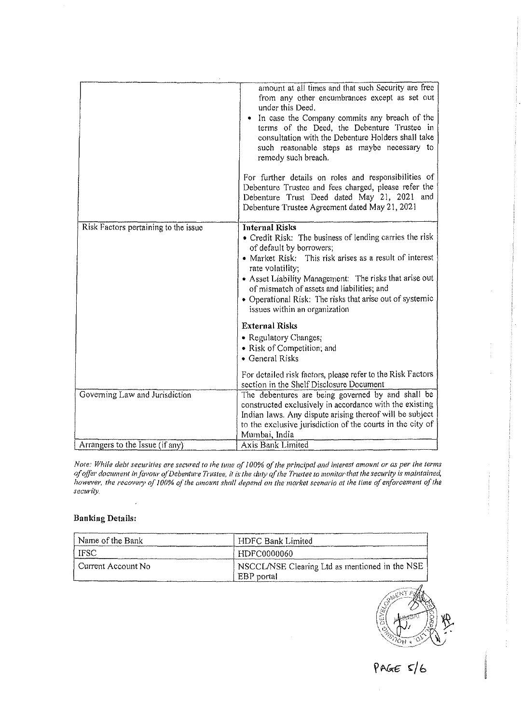|                                      | amount at all times and that such Security are free<br>from any other encumbrances except as set out<br>under this Deed.<br>• In case the Company commits any breach of the<br>terms of the Deed, the Debenture Trustee in<br>consultation with the Debenture Holders shall take<br>such reasonable steps as maybe necessary to<br>remedy such breach.<br>For further details on roles and responsibilities of            |
|--------------------------------------|---------------------------------------------------------------------------------------------------------------------------------------------------------------------------------------------------------------------------------------------------------------------------------------------------------------------------------------------------------------------------------------------------------------------------|
|                                      | Debenture Trustee and fees charged, please refer the<br>Debenture Trust Deed dated May 21, 2021 and<br>Debenture Trustee Agreement dated May 21, 2021                                                                                                                                                                                                                                                                     |
| Risk Factors pertaining to the issue | <b>Internal Risks</b><br>• Credit Risk: The business of lending carries the risk<br>of default by borrowers,<br>• Market Risk: This risk arises as a result of interest<br>rate volatility;<br>• Asset Liability Management: The risks that arise out<br>of mismatch of assets and liabilities; and<br>• Operational Risk: The risks that arise out of systemic<br>issues within an organization<br><b>External Risks</b> |
|                                      | • Regulatory Changes;<br>• Risk of Competition; and<br>• General Risks                                                                                                                                                                                                                                                                                                                                                    |
|                                      | For detailed risk factors, please refer to the Risk Factors<br>section in the Shelf Disclosure Document                                                                                                                                                                                                                                                                                                                   |
| Governing Law and Jurisdiction       | The debentures are being governed by and shall be<br>constructed exclusively in accordance with the existing<br>Indian laws. Any dispute arising thereof will be subject<br>to the exclusive jurisdiction of the courts in the city of<br>Mumbai, India                                                                                                                                                                   |
| Arrangers to the Issue (if any)      | <b>Axis Bank Limited</b>                                                                                                                                                                                                                                                                                                                                                                                                  |

*Note: While debt securities are secured to the tune of 100% of the principal and interest amount or as per the terms* of offer document in favour of Debenture Trustee, it is the duty of the Trustee to monitor that the security is maintained, *however, rhe recove,y (f* **J** *00% of the amount shall depend on !he market scenario at the time of enforcement of the security.* 

#### **Banking Details:**

| Name of the Bank     | HDFC Bank Limited                                            |
|----------------------|--------------------------------------------------------------|
| l ifsc               | HDFC0000060                                                  |
| l Current Account No | NSCCL/NSE Clearing Ltd as mentioned in the NSE<br>EBP portal |



PAGE  $s/6$